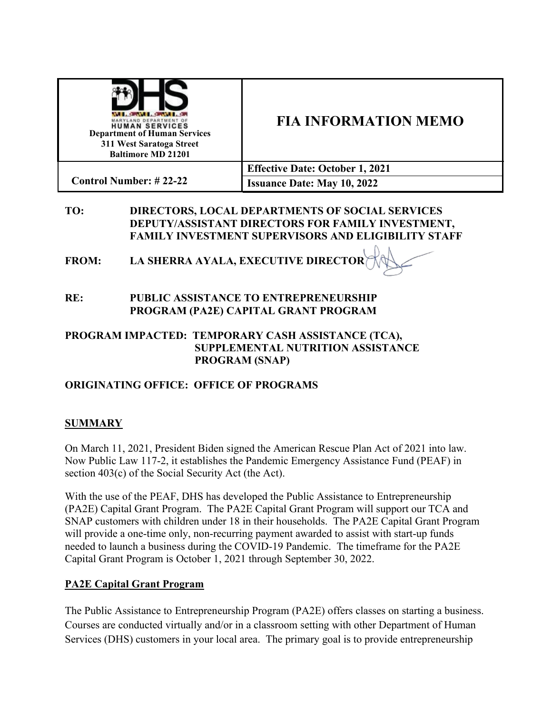| <b>WELL-BROWN CONVERTS</b><br>MARYLAND DEPARTMENT OF<br><b>HUMAN SERVICES</b><br><b>Department of Human Services</b><br>311 West Saratoga Street<br><b>Baltimore MD 21201</b> | <b>FIA INFORMATION MEMO</b>            |
|-------------------------------------------------------------------------------------------------------------------------------------------------------------------------------|----------------------------------------|
|                                                                                                                                                                               | <b>Effective Date: October 1, 2021</b> |
| <b>Control Number: #22-22</b>                                                                                                                                                 | <b>Issuance Date: May 10, 2022</b>     |

#### **TO: DIRECTORS, LOCAL DEPARTMENTS OF SOCIAL SERVICES DEPUTY/ASSISTANT DIRECTORS FOR FAMILY INVESTMENT, FAMILY INVESTMENT SUPERVISORS AND ELIGIBILITY STAFF**

**FROM: LA SHERRA AYALA, EXECUTIVE DIRECTOR**

**RE: PUBLIC ASSISTANCE TO ENTREPRENEURSHIP PROGRAM (PA2E) CAPITAL GRANT PROGRAM** 

### **PROGRAM IMPACTED: TEMPORARY CASH ASSISTANCE (TCA), SUPPLEMENTAL NUTRITION ASSISTANCE PROGRAM (SNAP)**

## **ORIGINATING OFFICE: OFFICE OF PROGRAMS**

## **SUMMARY**

On March 11, 2021, President Biden signed the American Rescue Plan Act of 2021 into law. Now Public Law 117-2, it establishes the Pandemic Emergency Assistance Fund (PEAF) in section 403(c) of the Social Security Act (the Act).

With the use of the PEAF, DHS has developed the Public Assistance to Entrepreneurship (PA2E) Capital Grant Program. The PA2E Capital Grant Program will support our TCA and SNAP customers with children under 18 in their households. The PA2E Capital Grant Program will provide a one-time only, non-recurring payment awarded to assist with start-up funds needed to launch a business during the COVID-19 Pandemic. The timeframe for the PA2E Capital Grant Program is October 1, 2021 through September 30, 2022.

### **PA2E Capital Grant Program**

The Public Assistance to Entrepreneurship Program (PA2E) offers classes on starting a business. Courses are conducted virtually and/or in a classroom setting with other Department of Human Services (DHS) customers in your local area. The primary goal is to provide entrepreneurship